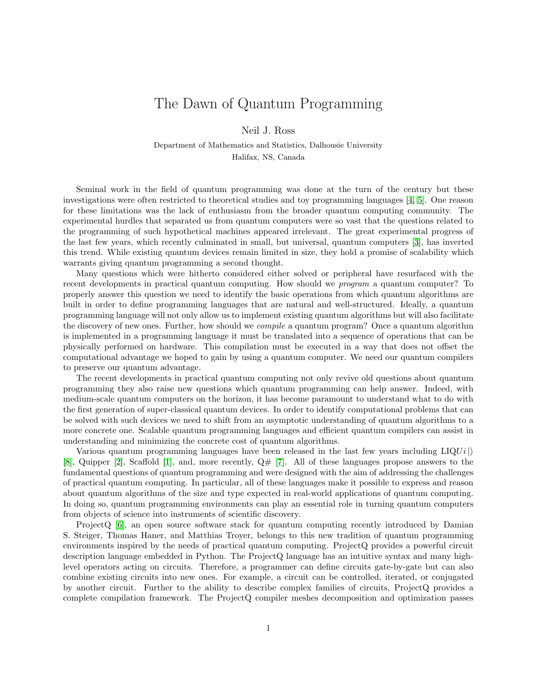## The Dawn of Quantum Programming

Neil J. Ross

Department of Mathematics and Statistics, Dalhousie University Halifax, NS, Canada

Seminal work in the field of quantum programming was done at the turn of the century but these investigations were often restricted to theoretical studies and toy programming languages [\[4,](#page-1-0) [5\]](#page-1-1). One reason for these limitations was the lack of enthusiasm from the broader quantum computing community. The experimental hurdles that separated us from quantum computers were so vast that the questions related to the programming of such hypothetical machines appeared irrelevant. The great experimental progress of the last few years, which recently culminated in small, but universal, quantum computers [\[3\]](#page-1-2), has inverted this trend. While existing quantum devices remain limited in size, they hold a promise of scalability which warrants giving quantum programming a second thought.

Many questions which were hitherto considered either solved or peripheral have resurfaced with the recent developments in practical quantum computing. How should we program a quantum computer? To properly answer this question we need to identify the basic operations from which quantum algorithms are built in order to define programming languages that are natural and well-structured. Ideally, a quantum programming language will not only allow us to implement existing quantum algorithms but will also facilitate the discovery of new ones. Further, how should we *compile* a quantum program? Once a quantum algorithm is implemented in a programming language it must be translated into a sequence of operations that can be physically performed on hardware. This compilation must be executed in a way that does not offset the computational advantage we hoped to gain by using a quantum computer. We need our quantum compilers to preserve our quantum advantage.

The recent developments in practical quantum computing not only revive old questions about quantum programming they also raise new questions which quantum programming can help answer. Indeed, with medium-scale quantum computers on the horizon, it has become paramount to understand what to do with the first generation of super-classical quantum devices. In order to identify computational problems that can be solved with such devices we need to shift from an asymptotic understanding of quantum algorithms to a more concrete one. Scalable quantum programming languages and efficient quantum compilers can assist in understanding and minimizing the concrete cost of quantum algorithms.

Various quantum programming languages have been released in the last few years including  $LIQUi$ [\[8\]](#page-1-3), Quipper [\[2\]](#page-1-4), Scaffold [\[1\]](#page-1-5), and, more recently,  $Q#$  [\[7\]](#page-1-6). All of these languages propose answers to the fundamental questions of quantum programming and were designed with the aim of addressing the challenges of practical quantum computing. In particular, all of these languages make it possible to express and reason about quantum algorithms of the size and type expected in real-world applications of quantum computing. In doing so, quantum programming environments can play an essential role in turning quantum computers from objects of science into instruments of scientific discovery.

ProjectQ [\[6\]](#page-1-7), an open source software stack for quantum computing recently introduced by Damian S. Steiger, Thomas Haner, and Matthias Troyer, belongs to this new tradition of quantum programming environments inspired by the needs of practical quantum computing. ProjectQ provides a powerful circuit description language embedded in Python. The ProjectQ language has an intuitive syntax and many highlevel operators acting on circuits. Therefore, a programmer can define circuits gate-by-gate but can also combine existing circuits into new ones. For example, a circuit can be controlled, iterated, or conjugated by another circuit. Further to the ability to describe complex families of circuits, ProjectQ provides a complete compilation framework. The ProjectQ compiler meshes decomposition and optimization passes